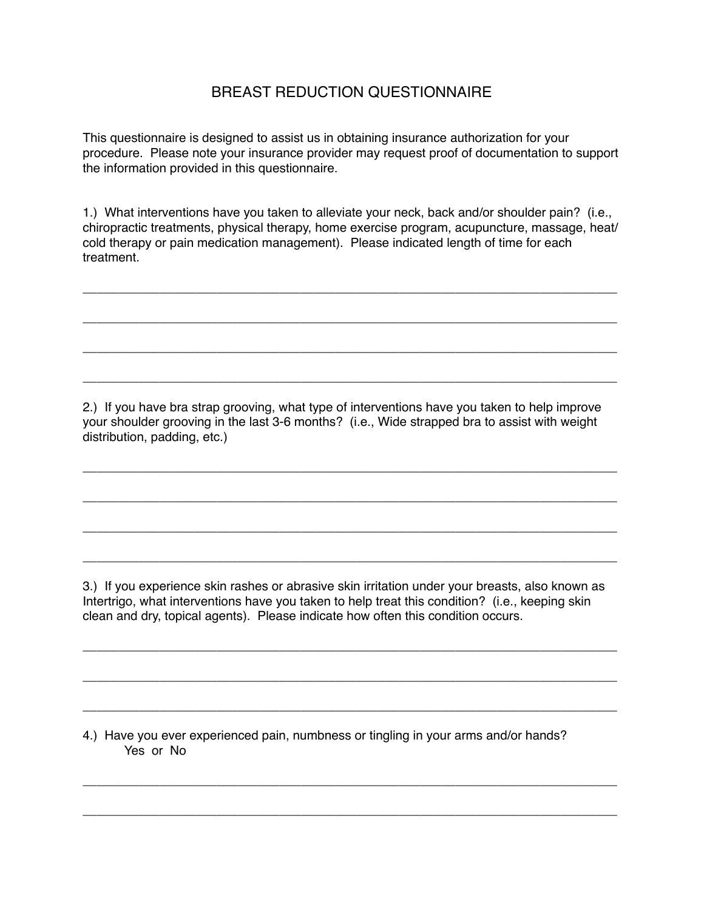## BREAST REDUCTION QUESTIONNAIRE

This questionnaire is designed to assist us in obtaining insurance authorization for your procedure. Please note your insurance provider may request proof of documentation to support the information provided in this questionnaire.

1.) What interventions have you taken to alleviate your neck, back and/or shoulder pain? (i.e., chiropractic treatments, physical therapy, home exercise program, acupuncture, massage, heat/ cold therapy or pain medication management). Please indicated length of time for each treatment.

\_\_\_\_\_\_\_\_\_\_\_\_\_\_\_\_\_\_\_\_\_\_\_\_\_\_\_\_\_\_\_\_\_\_\_\_\_\_\_\_\_\_\_\_\_\_\_\_\_\_\_\_\_\_\_\_\_\_\_\_\_\_\_\_\_\_\_\_\_\_\_\_\_\_\_\_

\_\_\_\_\_\_\_\_\_\_\_\_\_\_\_\_\_\_\_\_\_\_\_\_\_\_\_\_\_\_\_\_\_\_\_\_\_\_\_\_\_\_\_\_\_\_\_\_\_\_\_\_\_\_\_\_\_\_\_\_\_\_\_\_\_\_\_\_\_\_\_\_\_\_\_\_

\_\_\_\_\_\_\_\_\_\_\_\_\_\_\_\_\_\_\_\_\_\_\_\_\_\_\_\_\_\_\_\_\_\_\_\_\_\_\_\_\_\_\_\_\_\_\_\_\_\_\_\_\_\_\_\_\_\_\_\_\_\_\_\_\_\_\_\_\_\_\_\_\_\_\_\_

\_\_\_\_\_\_\_\_\_\_\_\_\_\_\_\_\_\_\_\_\_\_\_\_\_\_\_\_\_\_\_\_\_\_\_\_\_\_\_\_\_\_\_\_\_\_\_\_\_\_\_\_\_\_\_\_\_\_\_\_\_\_\_\_\_\_\_\_\_\_\_\_\_\_\_\_

2.) If you have bra strap grooving, what type of interventions have you taken to help improve your shoulder grooving in the last 3-6 months? (i.e., Wide strapped bra to assist with weight distribution, padding, etc.)

\_\_\_\_\_\_\_\_\_\_\_\_\_\_\_\_\_\_\_\_\_\_\_\_\_\_\_\_\_\_\_\_\_\_\_\_\_\_\_\_\_\_\_\_\_\_\_\_\_\_\_\_\_\_\_\_\_\_\_\_\_\_\_\_\_\_\_\_\_\_\_\_\_\_\_\_

\_\_\_\_\_\_\_\_\_\_\_\_\_\_\_\_\_\_\_\_\_\_\_\_\_\_\_\_\_\_\_\_\_\_\_\_\_\_\_\_\_\_\_\_\_\_\_\_\_\_\_\_\_\_\_\_\_\_\_\_\_\_\_\_\_\_\_\_\_\_\_\_\_\_\_\_

\_\_\_\_\_\_\_\_\_\_\_\_\_\_\_\_\_\_\_\_\_\_\_\_\_\_\_\_\_\_\_\_\_\_\_\_\_\_\_\_\_\_\_\_\_\_\_\_\_\_\_\_\_\_\_\_\_\_\_\_\_\_\_\_\_\_\_\_\_\_\_\_\_\_\_\_

\_\_\_\_\_\_\_\_\_\_\_\_\_\_\_\_\_\_\_\_\_\_\_\_\_\_\_\_\_\_\_\_\_\_\_\_\_\_\_\_\_\_\_\_\_\_\_\_\_\_\_\_\_\_\_\_\_\_\_\_\_\_\_\_\_\_\_\_\_\_\_\_\_\_\_\_

3.) If you experience skin rashes or abrasive skin irritation under your breasts, also known as Intertrigo, what interventions have you taken to help treat this condition? (i.e., keeping skin clean and dry, topical agents). Please indicate how often this condition occurs.

\_\_\_\_\_\_\_\_\_\_\_\_\_\_\_\_\_\_\_\_\_\_\_\_\_\_\_\_\_\_\_\_\_\_\_\_\_\_\_\_\_\_\_\_\_\_\_\_\_\_\_\_\_\_\_\_\_\_\_\_\_\_\_\_\_\_\_\_\_\_\_\_\_\_\_\_

\_\_\_\_\_\_\_\_\_\_\_\_\_\_\_\_\_\_\_\_\_\_\_\_\_\_\_\_\_\_\_\_\_\_\_\_\_\_\_\_\_\_\_\_\_\_\_\_\_\_\_\_\_\_\_\_\_\_\_\_\_\_\_\_\_\_\_\_\_\_\_\_\_\_\_\_

\_\_\_\_\_\_\_\_\_\_\_\_\_\_\_\_\_\_\_\_\_\_\_\_\_\_\_\_\_\_\_\_\_\_\_\_\_\_\_\_\_\_\_\_\_\_\_\_\_\_\_\_\_\_\_\_\_\_\_\_\_\_\_\_\_\_\_\_\_\_\_\_\_\_\_\_

\_\_\_\_\_\_\_\_\_\_\_\_\_\_\_\_\_\_\_\_\_\_\_\_\_\_\_\_\_\_\_\_\_\_\_\_\_\_\_\_\_\_\_\_\_\_\_\_\_\_\_\_\_\_\_\_\_\_\_\_\_\_\_\_\_\_\_\_\_\_\_\_\_\_\_\_

\_\_\_\_\_\_\_\_\_\_\_\_\_\_\_\_\_\_\_\_\_\_\_\_\_\_\_\_\_\_\_\_\_\_\_\_\_\_\_\_\_\_\_\_\_\_\_\_\_\_\_\_\_\_\_\_\_\_\_\_\_\_\_\_\_\_\_\_\_\_\_\_\_\_\_\_

4.) Have you ever experienced pain, numbness or tingling in your arms and/or hands? Yes or No